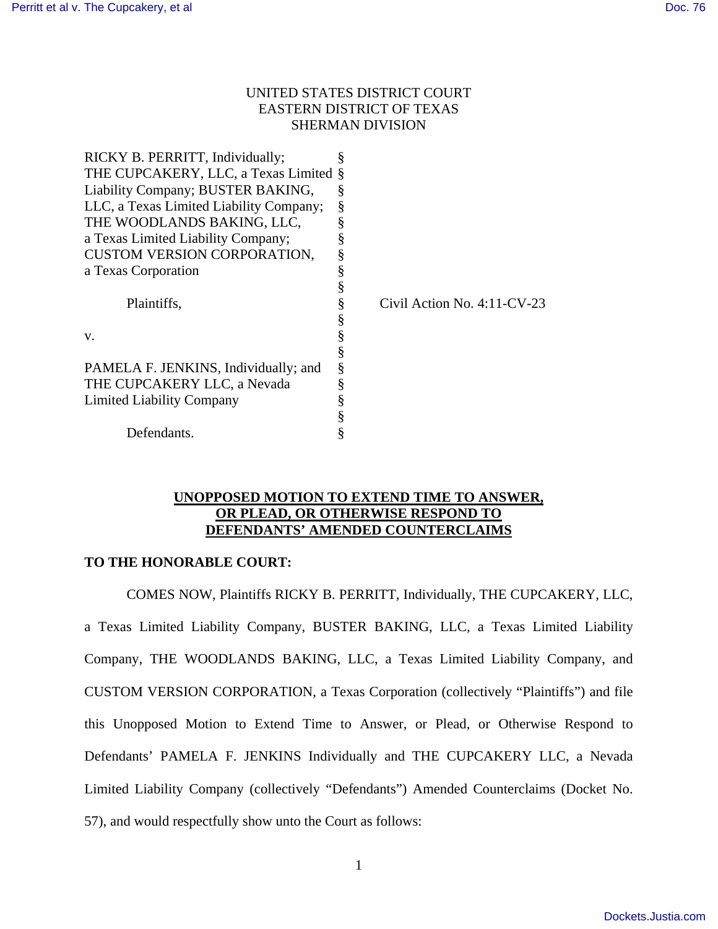# UNITED STATES DISTRICT COURT EASTERN DISTRICT OF TEXAS SHERMAN DIVISION

| RICKY B. PERRITT, Individually;         |   |                                |
|-----------------------------------------|---|--------------------------------|
| THE CUPCAKERY, LLC, a Texas Limited §   |   |                                |
| Liability Company; BUSTER BAKING,       | ş |                                |
| LLC, a Texas Limited Liability Company; | § |                                |
| THE WOODLANDS BAKING, LLC,              |   |                                |
| a Texas Limited Liability Company;      |   |                                |
| <b>CUSTOM VERSION CORPORATION,</b>      |   |                                |
| a Texas Corporation                     |   |                                |
|                                         |   |                                |
| Plaintiffs,                             |   | Civil Action No. $4:11$ -CV-23 |
|                                         | § |                                |
| V.                                      |   |                                |
|                                         | § |                                |
| PAMELA F. JENKINS, Individually; and    | § |                                |
| THE CUPCAKERY LLC, a Nevada             |   |                                |
| <b>Limited Liability Company</b>        |   |                                |
|                                         |   |                                |
| Defendants.                             |   |                                |

### **UNOPPOSED MOTION TO EXTEND TIME TO ANSWER, OR PLEAD, OR OTHERWISE RESPOND TO DEFENDANTS' AMENDED COUNTERCLAIMS**

## **TO THE HONORABLE COURT:**

 COMES NOW, Plaintiffs RICKY B. PERRITT, Individually, THE CUPCAKERY, LLC, a Texas Limited Liability Company, BUSTER BAKING, LLC, a Texas Limited Liability Company, THE WOODLANDS BAKING, LLC, a Texas Limited Liability Company, and CUSTOM VERSION CORPORATION, a Texas Corporation (collectively "Plaintiffs") and file this Unopposed Motion to Extend Time to Answer, or Plead, or Otherwise Respond to Defendants' PAMELA F. JENKINS Individually and THE CUPCAKERY LLC, a Nevada Limited Liability Company (collectively "Defendants") Amended Counterclaims (Docket No. 57), and would respectfully show unto the Court as follows: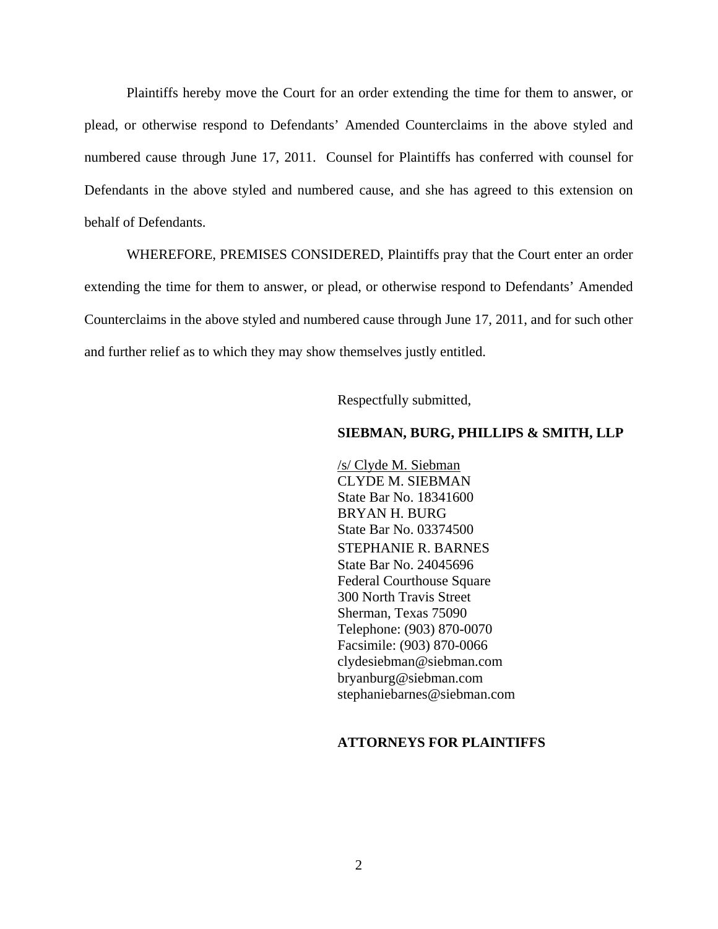Plaintiffs hereby move the Court for an order extending the time for them to answer, or plead, or otherwise respond to Defendants' Amended Counterclaims in the above styled and numbered cause through June 17, 2011. Counsel for Plaintiffs has conferred with counsel for Defendants in the above styled and numbered cause, and she has agreed to this extension on behalf of Defendants.

 WHEREFORE, PREMISES CONSIDERED, Plaintiffs pray that the Court enter an order extending the time for them to answer, or plead, or otherwise respond to Defendants' Amended Counterclaims in the above styled and numbered cause through June 17, 2011, and for such other and further relief as to which they may show themselves justly entitled.

Respectfully submitted,

#### **SIEBMAN, BURG, PHILLIPS & SMITH, LLP**

/s/ Clyde M. Siebman CLYDE M. SIEBMAN State Bar No. 18341600 BRYAN H. BURG State Bar No. 03374500 STEPHANIE R. BARNES State Bar No. 24045696 Federal Courthouse Square 300 North Travis Street Sherman, Texas 75090 Telephone: (903) 870-0070 Facsimile: (903) 870-0066 clydesiebman@siebman.com bryanburg@siebman.com stephaniebarnes@siebman.com

# **ATTORNEYS FOR PLAINTIFFS**